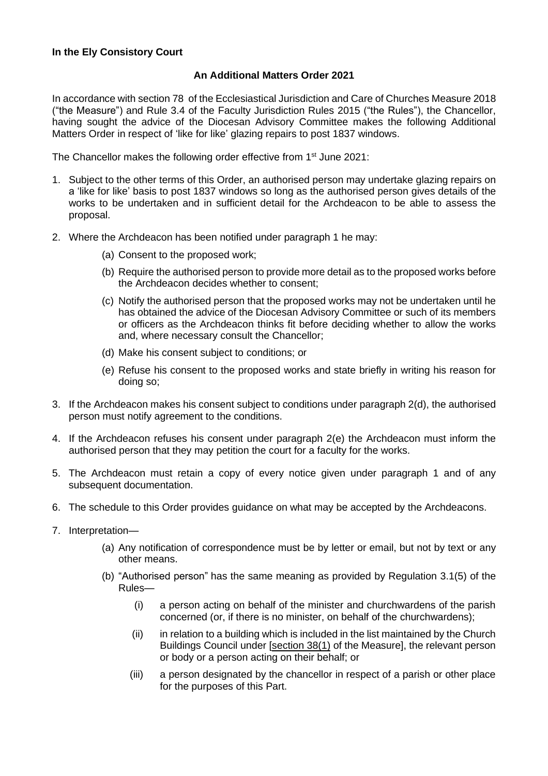## **An Additional Matters Order 2021**

In accordance with section 78 of the Ecclesiastical Jurisdiction and Care of Churches Measure 2018 ("the Measure") and Rule 3.4 of the Faculty Jurisdiction Rules 2015 ("the Rules"), the Chancellor, having sought the advice of the Diocesan Advisory Committee makes the following Additional Matters Order in respect of 'like for like' glazing repairs to post 1837 windows.

The Chancellor makes the following order effective from 1<sup>st</sup> June 2021:

- 1. Subject to the other terms of this Order, an authorised person may undertake glazing repairs on a 'like for like' basis to post 1837 windows so long as the authorised person gives details of the works to be undertaken and in sufficient detail for the Archdeacon to be able to assess the proposal.
- 2. Where the Archdeacon has been notified under paragraph 1 he may:
	- (a) Consent to the proposed work;
	- (b) Require the authorised person to provide more detail as to the proposed works before the Archdeacon decides whether to consent;
	- (c) Notify the authorised person that the proposed works may not be undertaken until he has obtained the advice of the Diocesan Advisory Committee or such of its members or officers as the Archdeacon thinks fit before deciding whether to allow the works and, where necessary consult the Chancellor;
	- (d) Make his consent subject to conditions; or
	- (e) Refuse his consent to the proposed works and state briefly in writing his reason for doing so;
- 3. If the Archdeacon makes his consent subject to conditions under paragraph 2(d), the authorised person must notify agreement to the conditions.
- 4. If the Archdeacon refuses his consent under paragraph 2(e) the Archdeacon must inform the authorised person that they may petition the court for a faculty for the works.
- 5. The Archdeacon must retain a copy of every notice given under paragraph 1 and of any subsequent documentation.
- 6. The schedule to this Order provides guidance on what may be accepted by the Archdeacons.
- 7. Interpretation—
	- (a) Any notification of correspondence must be by letter or email, but not by text or any other means.
	- (b) "Authorised person" has the same meaning as provided by Regulation 3.1(5) of the Rules—
		- (i) a person acting on behalf of the minister and churchwardens of the parish concerned (or, if there is no minister, on behalf of the churchwardens);
		- (ii) in relation to a building which is included in the list maintained by the Church Buildings Council under [\[section 38\(1\)](https://uk.westlaw.com/Document/I1B8B12705A5111E88BB7DF94E0C7237E/View/FullText.html?originationContext=document&transitionType=DocumentItem&contextData=(sc.DocLink)) of the Measure], the relevant person or body or a person acting on their behalf; or
		- (iii) a person designated by the chancellor in respect of a parish or other place for the purposes of this Part.